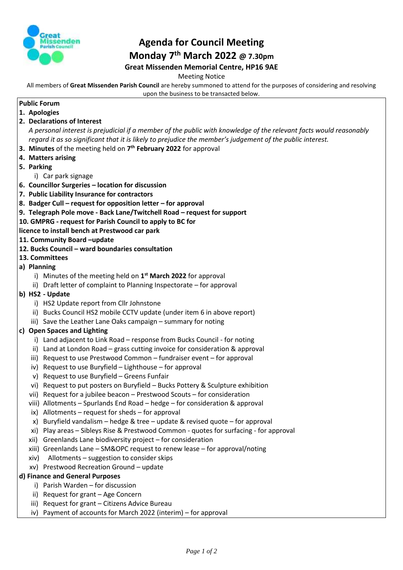

## **Agenda for Council Meeting Monday 7 th March 2022 @ 7.30pm Great Missenden Memorial Centre, HP16 9AE**

Meeting Notice

All members of **Great Missenden Parish Council** are hereby summoned to attend for the purposes of considering and resolving upon the business to be transacted below.

## **Public Forum**

- **1. Apologies**
- **2. Declarations of Interest**

*A personal interest is prejudicial if a member of the public with knowledge of the relevant facts would reasonably regard it as so significant that it is likely to prejudice the member's judgement of the public interest.*

- **3. Minutes** of the meeting held on **7 th February 2022** for approval
- **4. Matters arising**
- **5. Parking**

i) Car park signage

- **6. Councillor Surgeries – location for discussion**
- **7. Public Liability Insurance for contractors**
- **8. Badger Cull – request for opposition letter – for approval**
- **9. Telegraph Pole move - Back Lane/Twitchell Road – request for support**
- **10. GMPRG - request for Parish Council to apply to BC for**

**licence to install bench at Prestwood car park**

- **11. Community Board –update**
- **12. Bucks Council – ward boundaries consultation**
- **13. Committees**
- **a) Planning** 
	- i) Minutes of the meeting held on **1 st March 2022** for approval
	- ii) Draft letter of complaint to Planning Inspectorate for approval
- **b) HS2 - Update**
	- i) HS2 Update report from Cllr Johnstone
	- ii) Bucks Council HS2 mobile CCTV update (under item 6 in above report)
	- iii) Save the Leather Lane Oaks campaign summary for noting

## **c) Open Spaces and Lighting**

- i) Land adjacent to Link Road response from Bucks Council for noting
- ii) Land at London Road grass cutting invoice for consideration & approval
- iii) Request to use Prestwood Common fundraiser event for approval
- iv) Request to use Buryfield Lighthouse for approval
- v) Request to use Buryfield Greens Funfair
- vi) Request to put posters on Buryfield Bucks Pottery & Sculpture exhibition
- vii) Request for a jubilee beacon Prestwood Scouts for consideration
- viii) Allotments Spurlands End Road hedge for consideration & approval
- ix) Allotments request for sheds for approval
- x) Buryfield vandalism hedge & tree update & revised quote for approval
- xi) Play areas Sibleys Rise & Prestwood Common quotes for surfacing for approval
- xii) Greenlands Lane biodiversity project for consideration
- xiii) Greenlands Lane SM&OPC request to renew lease for approval/noting
- xiv) Allotments suggestion to consider skips
- xv) Prestwood Recreation Ground update

## **d) Finance and General Purposes**

- i) Parish Warden for discussion
- ii) Request for grant Age Concern
- iii) Request for grant Citizens Advice Bureau
- iv) Payment of accounts for March 2022 (interim) for approval